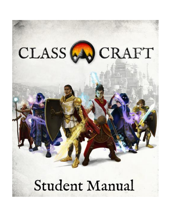

# Student Manual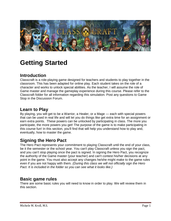

# **Getting Started**

### **Introduction**

Classcraft is a role-playing game designed for teachers and students to play together in the classroom. This has been adapted for online play. Each student takes on the role of a character and works to unlock special abilities. As the teacher, I will assume the role of Game master and manage the gameplay experience during this course. Please refer to the Classcraft folder for all information regarding this simulation. Post any questions to Game Stop in the Discussion Forum.

#### **Learn to Play**

By playing, you will get to be a Warrior, a Healer, or a Mage — each with special powers that can be used in real life and will let you do things like get extra time for an assignment or earn extra points. These powers can be unlocked by participating in class. The more you participate, the more powers you get! The purpose of the game is to make participating in this course fun! In this section, you'll find that will help you understand how to play and, eventually, how to master the game.

## **Signing the Hero Pact**

The Hero Pact represents your commitment to playing Classcraft until the end of your class, be it the semester or the school year. You can't play Classcraft unless you sign the pact, and you can't stop playing once the pact is signed. In signing the Hero Pact, you recognize the authority of the Game master (your teacher) and can't contest his/her decisions at any point in the game. You must also accept any changes he/she might make to the game rules even if you are not happy with them*. (During this class we will not officially sign the Hero Pact. It is included in the folder so you can see what it looks like.)*

#### **Basic game rules**

There are some basic rules you will need to know in order to play. We will review them in this section.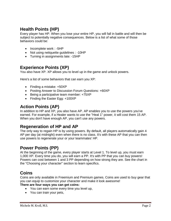## **Health Points (HP)**

Every player has HP. When you lose your entire HP, you will fall in battle and will then be subject to potentially negative consequences. Below is a list of what some of those behaviors could be:

- Incomplete work : -5HP
- Not using netiquette guidelines : -10HP
- Turning in assignments late: -15HP

### **Experience Points (XP)**

You also have XP. XP allows you to level up in the game and unlock powers.

Here's a list of some behaviors that can earn you XP:

- Finding a mistake: +50XP
- Posting Answer to Discussion Forum Questions: +60XP
- Being a participative team member: +75XP
- Finding the Easter Egg: +100XP

#### **Action Points (AP)**

In addition to HP and XP, you also have AP. AP enables you to use the powers you've earned. For example, if a Healer wants to use the "Heal 1" power, it will cost them 15 AP. When you don't have enough AP, you can't use any powers.

#### **Regeneration of HP and AP**

The only way to regain HP is by using powers. By default, all players automatically gain 4 AP per day (at midnight) even when there is no class. It's with these AP that you can then use powers to regenerate your or your teammates' HP.

## **Power Points (PP)**

At the beginning of the game, every player starts at Level 1. To level up, you must earn 1,000 XP. Every time you do, you will earn a PP. It's with PP that you can buy powers! Powers can cost between 1 and 3 PP depending on how strong they are. See the chart in the "Choosing your character" section to learn specifics.

#### **Coins**

Coins are only available in Freemium and Premium games. Coins are used to buy gear that you can equip to customize your character and make it look awesome!

#### **There are four ways you can get coins:**

- You can earn some every time you level up,
- You can train your pets,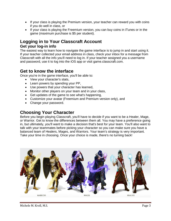- If your class is playing the Premium version, your teacher can reward you with coins if you do well in class, or
- If your class is playing the Freemium version, you can buy coins in iTunes or in the game (maximum purchase is \$5 per student).

## **Logging in to Your Classcraft Account Get your log-in info**

The easiest way to learn how to navigate the game interface is to jump in and start using it. If your teacher collected your email address in class, check your inbox for a message from Classcraft with all the info you'll need to log in. If your teacher assigned you a username and password, use it to log into the iOS app or visit game.classcraft.com.

#### **Get to know the interface**

Once you're in the game interface, you'll be able to:

- View your character's stats,
- Learn powers by spending your PP,
- Use powers that your character has learned,
- Monitor other players on your team and in your class,
- Get updates of the game to see what's happening,
- Customize your avatar (Freemium and Premium version only), and
- Change your password.

#### **Choosing Your Character**

Before you begin playing Classcraft, you'll have to decide if you want to be a Healer, Mage, or Warrior. Get to know the differences between them all. You may have a preference going in, but ultimately, you'll want to make a decision that's best for your team. You'll also want to talk with your teammates before picking your character so you can make sure you have a balanced team of Healers, Mages, and Warriors. Your team's strategy is very important. Take your time in choosing. Once your choice is made, there's no turning back!

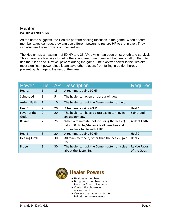## **Healer**

**Max HP:50 | Max AP:35**

As the name suggests, the Healers perform healing functions in the game. When a team member takes damage, they can use different powers to restore HP to that player. They can also use these powers on themselves.

The Healer has a maximum of 50 HP and 35 AP, giving it an edge on strength and survival. This character class likes to help others, and team members will frequently call on them to use the "Heal' and "Revive" powers during the game. The "Revive" power is the Healer's most significant power since it can save other players from falling in battle, thereby preventing damage to the rest of their team.

| <b>Power</b>          | Tier AP        |    | <b>Description</b>                                                                                                            | Requires                           |
|-----------------------|----------------|----|-------------------------------------------------------------------------------------------------------------------------------|------------------------------------|
| Heal 1                | $\mathbf{1}$   | 15 | A teammate gains 10 HP.                                                                                                       |                                    |
| Sainthood             | 1              | 5  | The healer can open or close a window.                                                                                        |                                    |
| <b>Ardent Faith</b>   | $\mathbf{1}$   | 10 | The healer can ask the Game master for help.                                                                                  |                                    |
| Heal 2                | $\overline{2}$ | 20 | A teammate gains 20HP.                                                                                                        | Heal 1                             |
| Favor of the          | $\overline{2}$ | 20 | The healer can have 1 extra day in turning in                                                                                 | Sainthood                          |
| Gods                  |                |    | an assignment.                                                                                                                |                                    |
| Revive                | $\overline{2}$ | 25 | When a teammate (not including the healer)<br>falls to 0 HP, he/she avoids all penalties and<br>comes back to life with 1 HP. | Ardent Faith                       |
| Heal 3                | 3              | 20 | A teammate gains 30 HP.                                                                                                       | Heal 2                             |
| <b>Healing Circle</b> | 3              | 30 | All team members, other than the healer, gain<br>15 HP.                                                                       | Heal 2                             |
| Prayer                | 3              | 30 | The healer can ask the Game master for a clue<br>about the Easter Egg.                                                        | <b>Revive Favor</b><br>of the Gods |



#### **Healer Powers**

- Heal team members
- Bring team members back from the Book of Laments
- Control the classroom environment
- Can ask the game master for help during assessments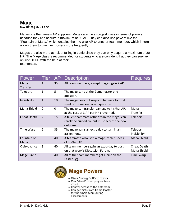## **Mage**

**Max HP:30 | Max AP:50**

Mages are the game's AP suppliers. Mages are the strongest class in terms of powers because they can acquire a maximum of 50 AP. They can also use powers like the "Fountain of Mana," which enables them to give AP to another team member, which in turn allows them to use their powers more frequently.

Mages are also more at risk of falling in battle since they can only acquire a maximum of 30 HP. The Mage class is recommended for students who are confident that they can survive on just 30 HP with the help of their teammates.

| Power               | <b>Tier</b>    | AP             | <b>Description</b>                                                                                       | <b>Requires</b>            |
|---------------------|----------------|----------------|----------------------------------------------------------------------------------------------------------|----------------------------|
| Mana<br>Transfer    | 1              | 35             | All team members, except mages, gain 7 AP.                                                               |                            |
| Teleport            | $\mathbf{1}$   | 5              | The mage can ask the Gamemaster one<br>question.                                                         |                            |
| Invisibility        | 1              | 10             | The mage does not respond to peers for that<br>week's Discussion Forum question.                         |                            |
| Mana Shield         | $\overline{2}$ | $\overline{0}$ | The mage can transfer damage to his/her AP,<br>at the cost of 3 AP per HP prevented.                     | Mana<br>Transfer           |
| <b>Cheat Death</b>  | 2              | 15             | A fallen teammate (other than the mage) can<br>reroll the cursed die but must accept the new<br>outcome. | Teleport                   |
| Time Warp           | 2              | 35             | The mage gains an extra day to turn in an<br>assignment.                                                 | Teleport<br>Invisibility   |
| Fountain of<br>Mana | $\overline{3}$ | 40             | A teammate who isn't a mage, replenishes all<br>of his/her AP.                                           | Mana Shield                |
| Clairvoyance        | 3              | 40             | All team members gain an extra day to post<br>on that week's Discussion Forum.                           | Cheat Death<br>Mana Shield |
| Mage Circle         | 3              | 40             | All of the team members get a hint on the<br>Easter Egg.                                                 | Time Warp                  |



## **Mage Powers**

- Gives "energy" (AP) to others
- Can "shield" other players from attack
- Control access to the bathroom
- Can get hints from Game Master for the whole team during assessments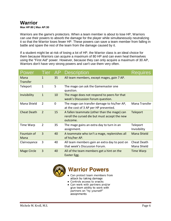## **Warrior**

#### **Max HP:80 | Max AP:30**

Warriors are the game's protectors. When a team member is about to lose HP, Warriors can use their powers to absorb the damage for the player while simultaneously neutralizing it so that the Warrior loses fewer HP. These powers can save a team member from falling in battle and spare the rest of the team from the damage caused by it.

If a student might be at risk of losing a lot of HP, the Warrior class is an ideal choice for them because Warriors can acquire a maximum of 80 HP and can even heal themselves using the "First Aid" power. However, because they can only acquire a maximum of 30 AP, Warriors don't have very strong powers and can't use them very often.

| Power                   | <b>Tier</b>    | AP          | <b>Description</b>                                                                                       | res<br>Rea                 |
|-------------------------|----------------|-------------|----------------------------------------------------------------------------------------------------------|----------------------------|
| Mana<br><b>Transfer</b> | $\mathbf{1}$   | 35          | All team members, except mages, gain 7 AP.                                                               |                            |
| Teleport                | $\mathbf{1}$   | 5           | The mage can ask the Gamemaster one<br>question.                                                         |                            |
| Invisibility            | $\mathbf{1}$   | 10          | The mage does not respond to peers for that<br>week's Discussion Forum question.                         |                            |
| Mana Shield             | $\overline{2}$ | $\mathbf 0$ | The mage can transfer damage to his/her AP,<br>at the cost of 3 AP per HP prevented.                     | Mana Transfer              |
| <b>Cheat Death</b>      | 2              | 15          | A fallen teammate (other than the mage) can<br>reroll the cursed die but must accept the new<br>outcome. | Teleport                   |
| Time Warp               | $\overline{2}$ | 35          | The mage gains an extra day to turn in an<br>assignment.                                                 | Teleport<br>Invisibility   |
| Fountain of<br>Mana     | 3              | 40          | A teammate who isn't a mage, replenishes all<br>of his/her AP.                                           | Mana Shield                |
| Clairvoyance            | 3              | 40          | All team members gain an extra day to post on<br>that week's Discussion Forum.                           | Cheat Death<br>Mana Shield |
| <b>Mage Circle</b>      | 3              | 40          | All of the team members get a hint on the<br>Easter Egg.                                                 | <b>Time Warp</b>           |



## **Warrior Powers**

- Can protect team members from attack by taking damage
- Controls access to snacks
- Can work with partners and/or give team ability to work with partners on "by yourself" assignments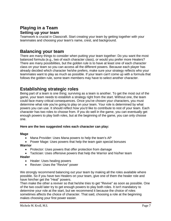## **Playing in a Team Setting up your team**

Teamwork is crucial in Classcraft. Start creating your team by getting together with your teammates and choosing your team's name, crest, and background.

### **Balancing your team**

There are many things to consider when putting your team together: Do you want the most balanced formula (e.g., two of each character class), or would you prefer more Healers? There are many possibilities, but the golden rule is to have at least one of each character class on your team so you can access all the different powers. Because each player has already decided which character he/she prefers, make sure your strategy reflects who your teammates want to play as much as possible. If your team can't come up with a formula that follows the golden rule, some team members may have to select another character.

## **Establishing strategic roles**

Being part of a team is one thing; surviving as a team is another. To get the most out of the game, your team needs to establish a strategy right from the start. Without one, the team could face many critical consequences. Once you've chosen your characters, you must determine what role you're going to play on your team. Your role is determined by what powers you can use. It should reflect how you'd like to contribute to rest of your team. Each character has two roles to choose from. If you do well in the game, you can eventually get enough powers to play both roles, but at the beginning of the game, you can only choose one.

#### **Here are the two suggested roles each character can play:**

#### **Mage**

- Mana Provider: Uses Mana powers to help the team's AP
- Power Mage: Uses powers that help the team gain special bonuses

#### **Warrior**

- Protector: Uses powers that offer protection from damage
- Tactician: Uses offensive powers that help the Warrior and his/her team

#### **Healer**

- Healer: Uses healing powers
- Reviver: Uses the "Revive" power

We strongly recommend balancing out your team by making all the roles available where possible. So if you have two Healers on your team, give one of them the healer role and have him/her get the "Heal" powers.

Then make the other a reviver so that he/she tries to get "Revive" as soon as possible. One of the two could later try to get enough powers to play both roles. It isn't mandatory to determine your role at the start, but we recommend it because the choice of roles sometimes affects the choice of character. That said, choosing a role at the beginning makes choosing your first power easier.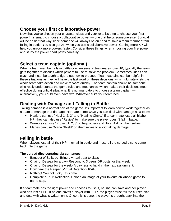## **Choose your first collaborative power**

Now that you've chosen your character class and your role, it's time to choose your first power! It's smart to choose a collaborative power — one that helps someone else. Survival will be easier that way since someone will always be on hand to save a team member from falling in battle. You also get XP when you use a collaborative power. Getting more XP will help you unlock more powers faster. Consider these things when choosing your first power and study the power chart paths carefully.

## **Select a team captain (optional)**

When a team member falls in battle or when several teammates lose HP, typically the team gets together to discuss which powers to use to solve the problem. Sometimes, ideas can clash and it can be tough to figure out how to proceed. Team captains can be helpful in these situations as they will have the last word on these decisions, which ultimately lets the whole team take action and move forward quickly. The team captain should be someone who really understands the game rules and mechanics, which makes their decisions most effective during critical situations. It is not mandatory to choose a team captain alternatively, you could even have two. Whatever suits your team best!

## **Dealing with Damage and Falling in Battle**

Taking damage is a normal part of the game. It's important to learn how to work together as a team to manage that damage. Here are some ways you can deal with damage as a team:

- Healers can use "Heal 1, 2, 3" and "Healing Circle." If a teammate loses all his/her HP, they can also use "Revive" to make sure the player doesn't fall in battle.
- Warriors can use "Protect 1, 2, 3" to help others and "First Aid" on themselves.
- Mages can use "Mana Shield" on themselves to avoid taking damage.

## **Falling in battle**

When players lose all of their HP, they fall in battle and must roll the cursed dice to come back into the game.

#### **The cursed dice contains six sentences**.

- Banquet of Solitude- Bring a virtual treat to class
- Chair of Despair for a day- Respond to 3 peers DF posts for that week.
- Chair of Despair for the week- A day less to hand in the next assignment.
- Don't fear the Reaper (Virtual Detention-10AP)
- Nothing! You got lucky...this time.
- Complete a REP Reflection- Upload an image of your favorite childhood game to game stop.

If a teammate has the right power and chooses to use it, he/she can save another player who has lost all HP. If no one saves a player with 0 HP, the player must roll the cursed dice and deal with what is written on it. Once this is done, the player is brought back into the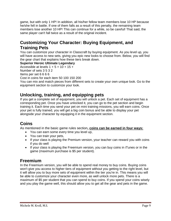game, but with only 1 HP! In addition, all his/her fellow team members lose 10 HP because he/she fell in battle. If one of them falls as a result of this penalty, the remaining team members lose another 10 HP! This can continue for a while, so be careful! That said, the same player can't fall twice as a result of the original incident.

## **Customizing Your Character: Buying Equipment, and Training Pets**

You can customize your character in Classcraft by buying equipment. As you level up, you will have access to new sets, giving you epic new looks to choose from. Below, you will find the gear chart that explains how these tiers break down.

#### **Superior Heroic Ultimate Legendary**

Accessible at levels  $1 + 5 + 10 + 15 +$ 

Number of sets 3 5 3 2

Items per set 6 6 6 6

Cost in coins for each item 50 100 150 200

You can mix and match pieces from different sets to create your own unique look. Go to the equipment section to customize your look.

## **Unlocking, training, and equipping pets**

If you get a complete set of equipment, you will unlock a pet. Each set of equipment has a corresponding pet. Once you have unlocked it, you can go to the pet section and begin training it. Each time you send your pet on mini training missions, you will earn coins. Once your pet is fully trained, you will get a big coin bonus and be able to display your pet alongside your character by equipping it in the equipment section.

## **Coins**

As mentioned in the basic game rules section**, coins can be earned in four ways:**

- You can earn some every time you level up,
- You can train your pets,
- If your class is playing the Premium version, your teacher can reward you with coins if you do well
- If your class is playing the Freemium version, you can buy coins in iTunes or in the game (maximum purchase is \$5 per student).

## **Freemium**

In the Freemium version, you will be able to spend real money to buy coins. Buying coins won't give you access to higher tiers of equipment without you getting to the right level, but it will allow you to buy more sets of equipment within the tier you're in. This means you will be able to customize your character even more, as well unlock more pets. There is a maximum of \$5 per student that you can spend to buy coins. If you spend your coins wisely and you play the game well, this should allow you to get all the gear and pets in the game.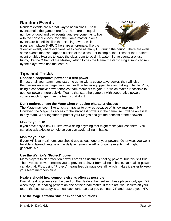## **Random Events**

Random events are a great way to begin class. These events make the game more fun. There are an equal number of good and bad events, and everyone has to live with the consequences, even the Game master. Some events are beneficial, like the "Healing" event, which gives each player 5 HP. Others are unfortunate, like the



"Feeble" event, where everyone loses twice as many HP during the period. There are even some events that can happen outside of the class. For example, the "Thirst of the Healers" event enables Healers to leave the classroom to go drink water. Some events are just funny, like the "Chant of the Master," which forces the Game master to sing a song chosen by the player who has the least XP.

## **Tips and Tricks**

#### **Choose a cooperative power as a first power**

If most or all your teammates start the game with a cooperative power, they will give themselves an advantage because they'll be better equipped to avoid falling in battle. Plus, using a cooperative power enables team members to gain XP, which makes it possible to get new powers more quickly. Teams that start the game off with cooperative powers survive much longer than the teams that don't.

#### **Don't underestimate the Mage when choosing character classes**

The Mage may seem like a risky character to play as because of its low maximum HP. However, the Mage has access to the strongest powers in the game, so it will be an asset to any team. Work together to protect your Mages and get the benefits of their powers.

#### **Monitor your HP**

If you have only a few HP left, avoid doing anything that might make you lose them. You can also ask aHealer to help so you can avoid falling in battle.

#### **Monitor your AP**

If your AP is at maximum, you should use at least one of your powers. Otherwise, you won't be able to takeadvantage of the daily increment in AP or of game events that might generate AP.

#### **Use the Warrior's "Protect" power**

Many players think protection powers aren't as useful as healing powers, but this isn't true. The "Protect" power enables you to prevent a player from falling in battle. No healing power can do that. Plus, using "Protect" means less damage overall, which makes it easier to keep your team members alive.

#### **Healers should heal someone else as often as possible**

Even if healing powers can be used on the Healers themselves, these players only gain XP when they use healing powers on one of their teammates. If there are two Healers on your team, the best strategy is to heal each other so that you can gain XP and restore your HP.

#### **Use the Mage's "Mana Shield" in critical situations**